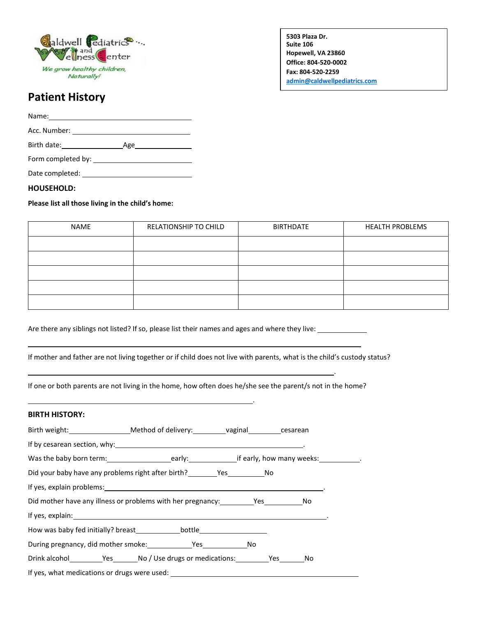

**5303 Plaza Dr. Suite 106 Hopewell, VA 23860 Office: 804-520-0002 Fax: 804-520-2259 [admin@caldwellpediatrics.com](mailto:admin@caldwellpediatrics.com)**

.

**Caldwellpediatrics.com**

# **Patient History**

Name: Acc. Number: 2008

Birth date: Age Form completed by:

Date completed:

### **HOUSEHOLD:**

### **Please list all those living in the child's home:**

| NAME | RELATIONSHIP TO CHILD | <b>BIRTHDATE</b> | <b>HEALTH PROBLEMS</b> |  |
|------|-----------------------|------------------|------------------------|--|
|      |                       |                  |                        |  |
|      |                       |                  |                        |  |
|      |                       |                  |                        |  |
|      |                       |                  |                        |  |
|      |                       |                  |                        |  |

.

Are there any siblings not listed? If so, please list their names and ages and where they live:

If mother and father are not living together or if child does not live with parents, what is the child's custody status?

If one or both parents are not living in the home, how often does he/she see the parent/s not in the home?

# **BIRTH HISTORY:**

| If by cesarean section, why: 1999 and 2009 and 2009 and 2009 and 2009 and 2009 and 2009 and 2009 and 2009 and 2009 and 2009 and 2009 and 2009 and 2009 and 2009 and 2009 and 2009 and 2009 and 2009 and 2009 and 2009 and 2009 |  |  |
|--------------------------------------------------------------------------------------------------------------------------------------------------------------------------------------------------------------------------------|--|--|
|                                                                                                                                                                                                                                |  |  |
|                                                                                                                                                                                                                                |  |  |
|                                                                                                                                                                                                                                |  |  |
|                                                                                                                                                                                                                                |  |  |
|                                                                                                                                                                                                                                |  |  |
|                                                                                                                                                                                                                                |  |  |
|                                                                                                                                                                                                                                |  |  |
|                                                                                                                                                                                                                                |  |  |
| If yes, what medications or drugs were used: ___________________________________                                                                                                                                               |  |  |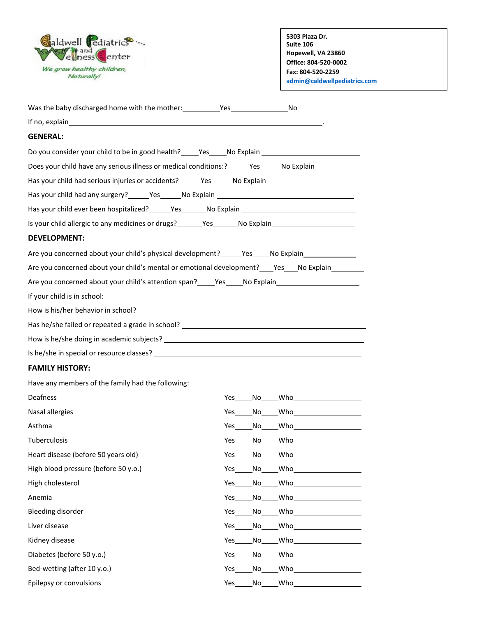

**5303 Plaza Dr. Suite 106 Hopewell, VA 23860 Office: 804-520-0002 Fax: 804-520-2259 [admin@caldwellpediatrics.com](mailto:admin@caldwellpediatrics.com)**

**Caldwellpediatrics.com**

| If no, explain $\overline{\phantom{a}}$                                                                                                                                                                                                |
|----------------------------------------------------------------------------------------------------------------------------------------------------------------------------------------------------------------------------------------|
| <b>GENERAL:</b>                                                                                                                                                                                                                        |
| Do you consider your child to be in good health? _____Yes _____No Explain _________________________                                                                                                                                    |
| Does your child have any serious illness or medical conditions:?______Yes_____No Explain __________                                                                                                                                    |
| Has your child had serious injuries or accidents? _______Yes_______No Explain ______________________                                                                                                                                   |
|                                                                                                                                                                                                                                        |
| Has your child ever been hospitalized? _______Yes _______No Explain ________________________________                                                                                                                                   |
| Is your child allergic to any medicines or drugs?_______Yes_______No Explain_______________________                                                                                                                                    |
| <b>DEVELOPMENT:</b>                                                                                                                                                                                                                    |
| Are you concerned about your child's physical development? _______Yes_____No Explain_______________                                                                                                                                    |
| Are you concerned about your child's mental or emotional development? _____ Yes_____ No Explain___________                                                                                                                             |
| Are you concerned about your child's attention span?_____Yes_____No Explain________________________                                                                                                                                    |
| If your child is in school:                                                                                                                                                                                                            |
|                                                                                                                                                                                                                                        |
|                                                                                                                                                                                                                                        |
|                                                                                                                                                                                                                                        |
| Is he/she in special or resource classes?<br><u> and the contract of the contract of the contract of the contract of the contract of the contract of the contract of the contract of the contract of the contract of the contract </u> |
|                                                                                                                                                                                                                                        |

#### **FAMILY HISTORY:**

Have any members of the family had the following:

| Deafness                             | Yes | No   | Who<br>the control of the control of                                                                                                                                                                                                 |
|--------------------------------------|-----|------|--------------------------------------------------------------------------------------------------------------------------------------------------------------------------------------------------------------------------------------|
| Nasal allergies                      | Yes | No l |                                                                                                                                                                                                                                      |
| Asthma                               | Yes | No l |                                                                                                                                                                                                                                      |
| Tuberculosis                         | Yes | No l |                                                                                                                                                                                                                                      |
| Heart disease (before 50 years old)  | Yes | No   | $\nonumber \text{Who} \underline{\hspace{2cm}} \underline{\hspace{2cm}}$                                                                                                                                                             |
| High blood pressure (before 50 y.o.) | Yes | No l |                                                                                                                                                                                                                                      |
| High cholesterol                     | Yes | No l |                                                                                                                                                                                                                                      |
| Anemia                               | Yes | No   | $\nonumber \textsf{Who} \underline{\hspace{2cm}} \underline{\hspace{2cm}}$                                                                                                                                                           |
| <b>Bleeding disorder</b>             | Yes | No   | Who <b>will be a set of the set of the set of the set of the set of the set of the set of the set of the set of the set of the set of the set of the set of the set of the set of the set of the set of the set of the set of th</b> |
| Liver disease                        | Yes | No l | $Who$ and $\overline{\phantom{aa}W}$                                                                                                                                                                                                 |
| Kidney disease                       | Yes | No l | <b>Who</b> are a set of the set of the set of the set of the set of the set of the set of the set of the set of the set of the set of the set of the set of the set of the set of the set of the set of the set of the set of the s  |
| Diabetes (before 50 y.o.)            | Yes | No   |                                                                                                                                                                                                                                      |
| Bed-wetting (after 10 y.o.)          | Yes | No   | <b>Who</b> and the second second second second second second second second second second second second second second second second second second second second second second second second second second second second second secon  |
| Epilepsy or convulsions              | Yes | No   | Who                                                                                                                                                                                                                                  |